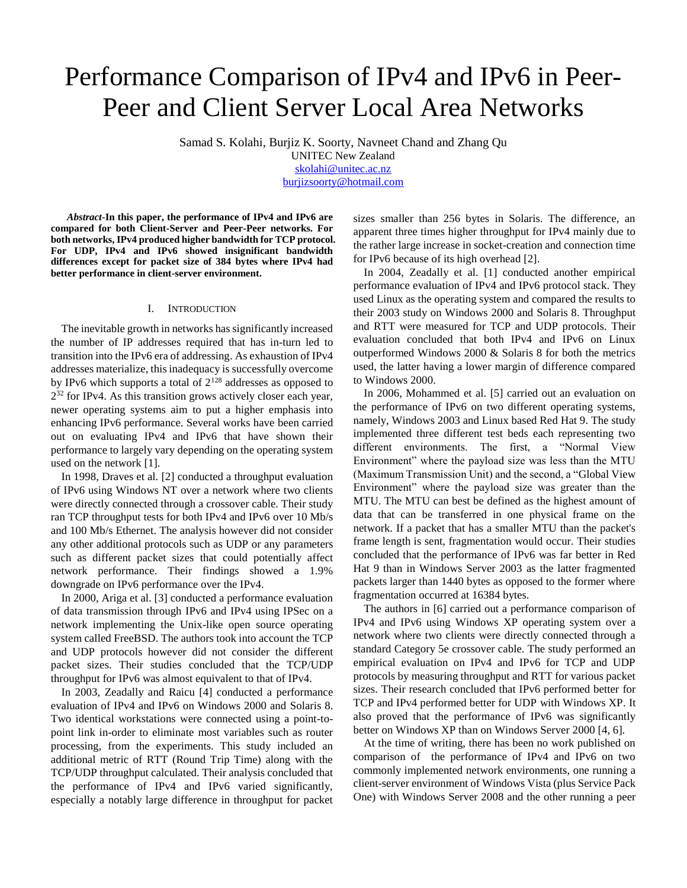# Performance Comparison of IPv4 and IPv6 in Peer-Peer and Client Server Local Area Networks

Samad S. Kolahi, Burjiz K. Soorty, Navneet Chand and Zhang Qu

UNITEC New Zealand [skolahi@unitec.ac.nz](mailto:skolahi@unitec.ac.nz) [burjizsoorty@hotmail.com](mailto:burjizsoorty@hotmail.com)

*Abstract-***In this paper, the performance of IPv4 and IPv6 are** 

**compared for both Client-Server and Peer-Peer networks. For both networks, IPv4 produced higher bandwidth for TCP protocol. For UDP, IPv4 and IPv6 showed insignificant bandwidth differences except for packet size of 384 bytes where IPv4 had better performance in client-server environment.**

# I. INTRODUCTION

The inevitable growth in networks has significantly increased the number of IP addresses required that has in-turn led to transition into the IPv6 era of addressing. As exhaustion of IPv4 addresses materialize, this inadequacy is successfully overcome by IPv6 which supports a total of  $2^{128}$  addresses as opposed to 2 <sup>32</sup> for IPv4. As this transition grows actively closer each year, newer operating systems aim to put a higher emphasis into enhancing IPv6 performance. Several works have been carried out on evaluating IPv4 and IPv6 that have shown their performance to largely vary depending on the operating system used on the network [1].

In 1998, Draves et al. [2] conducted a throughput evaluation of IPv6 using Windows NT over a network where two clients were directly connected through a crossover cable. Their study ran TCP throughput tests for both IPv4 and IPv6 over 10 Mb/s and 100 Mb/s Ethernet. The analysis however did not consider any other additional protocols such as UDP or any parameters such as different packet sizes that could potentially affect network performance. Their findings showed a 1.9% downgrade on IPv6 performance over the IPv4.

In 2000, Ariga et al. [3] conducted a performance evaluation of data transmission through IPv6 and IPv4 using IPSec on a network implementing the Unix-like open source operating system called FreeBSD. The authors took into account the TCP and UDP protocols however did not consider the different packet sizes. Their studies concluded that the TCP/UDP throughput for IPv6 was almost equivalent to that of IPv4.

In 2003, Zeadally and Raicu [4] conducted a performance evaluation of IPv4 and IPv6 on Windows 2000 and Solaris 8. Two identical workstations were connected using a point-topoint link in-order to eliminate most variables such as router processing, from the experiments. This study included an additional metric of RTT (Round Trip Time) along with the TCP/UDP throughput calculated. Their analysis concluded that the performance of IPv4 and IPv6 varied significantly, especially a notably large difference in throughput for packet sizes smaller than 256 bytes in Solaris. The difference, an apparent three times higher throughput for IPv4 mainly due to the rather large increase in socket-creation and connection time for IPv6 because of its high overhead [2].

In 2004, Zeadally et al. [1] conducted another empirical performance evaluation of IPv4 and IPv6 protocol stack. They used Linux as the operating system and compared the results to their 2003 study on Windows 2000 and Solaris 8. Throughput and RTT were measured for TCP and UDP protocols. Their evaluation concluded that both IPv4 and IPv6 on Linux outperformed Windows 2000 & Solaris 8 for both the metrics used, the latter having a lower margin of difference compared to Windows 2000.

In 2006, Mohammed et al. [5] carried out an evaluation on the performance of IPv6 on two different operating systems, namely, Windows 2003 and Linux based Red Hat 9. The study implemented three different test beds each representing two different environments. The first, a "Normal View Environment" where the payload size was less than the MTU (Maximum Transmission Unit) and the second, a "Global View Environment" where the payload size was greater than the MTU. The MTU can best be defined as the highest amount of data that can be transferred in one physical frame on the network. If a packet that has a smaller MTU than the packet's frame length is sent, fragmentation would occur. Their studies concluded that the performance of IPv6 was far better in Red Hat 9 than in Windows Server 2003 as the latter fragmented packets larger than 1440 bytes as opposed to the former where fragmentation occurred at 16384 bytes.

The authors in [6] carried out a performance comparison of IPv4 and IPv6 using Windows XP operating system over a network where two clients were directly connected through a standard Category 5e crossover cable. The study performed an empirical evaluation on IPv4 and IPv6 for TCP and UDP protocols by measuring throughput and RTT for various packet sizes. Their research concluded that IPv6 performed better for TCP and IPv4 performed better for UDP with Windows XP. It also proved that the performance of IPv6 was significantly better on Windows XP than on Windows Server 2000 [4, 6].

At the time of writing, there has been no work published on comparison of the performance of IPv4 and IPv6 on two commonly implemented network environments, one running a client-server environment of Windows Vista (plus Service Pack One) with Windows Server 2008 and the other running a peer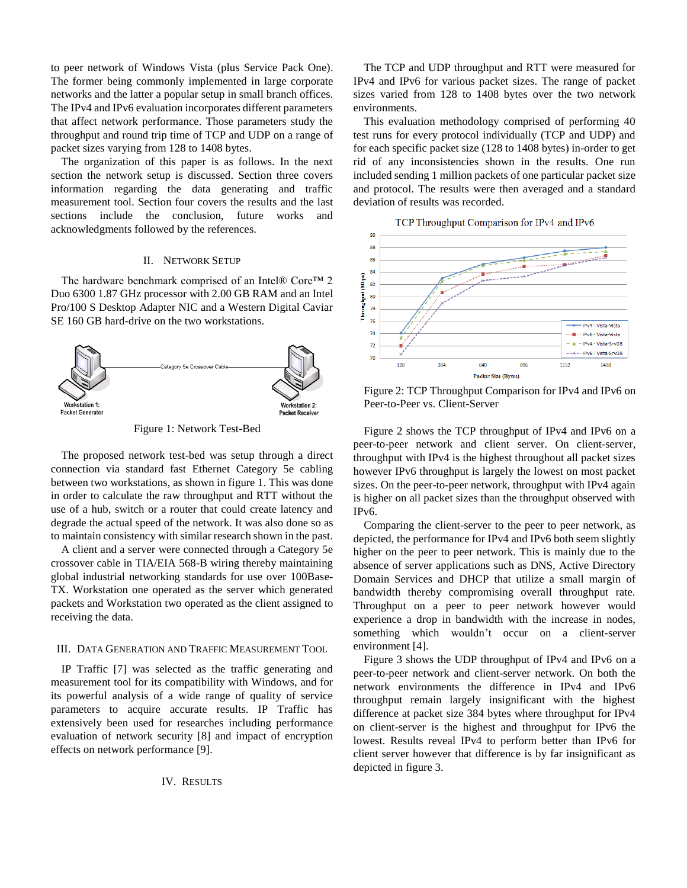to peer network of Windows Vista (plus Service Pack One). The former being commonly implemented in large corporate networks and the latter a popular setup in small branch offices. The IPv4 and IPv6 evaluation incorporates different parameters that affect network performance. Those parameters study the throughput and round trip time of TCP and UDP on a range of packet sizes varying from 128 to 1408 bytes.

The organization of this paper is as follows. In the next section the network setup is discussed. Section three covers information regarding the data generating and traffic measurement tool. Section four covers the results and the last sections include the conclusion, future works and acknowledgments followed by the references.

# II. NETWORK SETUP

The hardware benchmark comprised of an Intel® Core™ 2 Duo 6300 1.87 GHz processor with 2.00 GB RAM and an Intel Pro/100 S Desktop Adapter NIC and a Western Digital Caviar SE 160 GB hard-drive on the two workstations.



Figure 1: Network Test-Bed

The proposed network test-bed was setup through a direct connection via standard fast Ethernet Category 5e cabling between two workstations, as shown in figure 1. This was done in order to calculate the raw throughput and RTT without the use of a hub, switch or a router that could create latency and degrade the actual speed of the network. It was also done so as to maintain consistency with similar research shown in the past.

A client and a server were connected through a Category 5e crossover cable in TIA/EIA 568-B wiring thereby maintaining global industrial networking standards for use over 100Base-TX. Workstation one operated as the server which generated packets and Workstation two operated as the client assigned to receiving the data.

### III. DATA GENERATION AND TRAFFIC MEASUREMENT TOOL

IP Traffic [7] was selected as the traffic generating and measurement tool for its compatibility with Windows, and for its powerful analysis of a wide range of quality of service parameters to acquire accurate results. IP Traffic has extensively been used for researches including performance evaluation of network security [8] and impact of encryption effects on network performance [9].

The TCP and UDP throughput and RTT were measured for IPv4 and IPv6 for various packet sizes. The range of packet sizes varied from 128 to 1408 bytes over the two network environments.

This evaluation methodology comprised of performing 40 test runs for every protocol individually (TCP and UDP) and for each specific packet size (128 to 1408 bytes) in-order to get rid of any inconsistencies shown in the results. One run included sending 1 million packets of one particular packet size and protocol. The results were then averaged and a standard deviation of results was recorded.





Figure 2: TCP Throughput Comparison for IPv4 and IPv6 on Peer-to-Peer vs. Client-Server

Figure 2 shows the TCP throughput of IPv4 and IPv6 on a peer-to-peer network and client server. On client-server, throughput with IPv4 is the highest throughout all packet sizes however IPv6 throughput is largely the lowest on most packet sizes. On the peer-to-peer network, throughput with IPv4 again is higher on all packet sizes than the throughput observed with IPv6.

Comparing the client-server to the peer to peer network, as depicted, the performance for IPv4 and IPv6 both seem slightly higher on the peer to peer network. This is mainly due to the absence of server applications such as DNS, Active Directory Domain Services and DHCP that utilize a small margin of bandwidth thereby compromising overall throughput rate. Throughput on a peer to peer network however would experience a drop in bandwidth with the increase in nodes, something which wouldn't occur on a client-server environment [4].

Figure 3 shows the UDP throughput of IPv4 and IPv6 on a peer-to-peer network and client-server network. On both the network environments the difference in IPv4 and IPv6 throughput remain largely insignificant with the highest difference at packet size 384 bytes where throughput for IPv4 on client-server is the highest and throughput for IPv6 the lowest. Results reveal IPv4 to perform better than IPv6 for client server however that difference is by far insignificant as depicted in figure 3.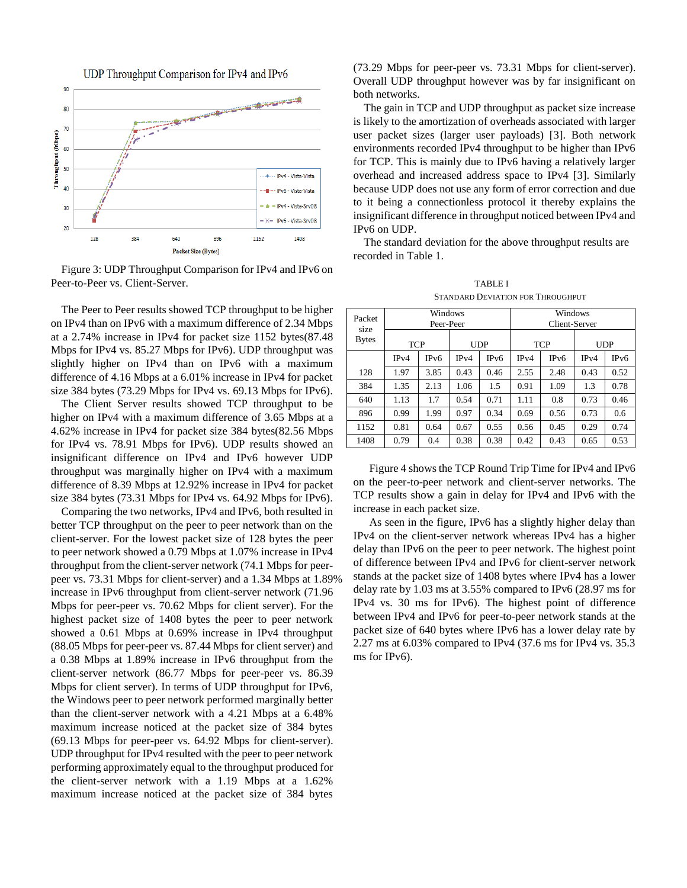

Figure 3: UDP Throughput Comparison for IPv4 and IPv6 on Peer-to-Peer vs. Client-Server.

The Peer to Peer results showed TCP throughput to be higher on IPv4 than on IPv6 with a maximum difference of 2.34 Mbps at a 2.74% increase in IPv4 for packet size 1152 bytes(87.48 Mbps for IPv4 vs. 85.27 Mbps for IPv6). UDP throughput was slightly higher on IPv4 than on IPv6 with a maximum difference of 4.16 Mbps at a 6.01% increase in IPv4 for packet size 384 bytes (73.29 Mbps for IPv4 vs. 69.13 Mbps for IPv6).

The Client Server results showed TCP throughput to be higher on IPv4 with a maximum difference of 3.65 Mbps at a 4.62% increase in IPv4 for packet size 384 bytes(82.56 Mbps for IPv4 vs. 78.91 Mbps for IPv6). UDP results showed an insignificant difference on IPv4 and IPv6 however UDP throughput was marginally higher on IPv4 with a maximum difference of 8.39 Mbps at 12.92% increase in IPv4 for packet size 384 bytes (73.31 Mbps for IPv4 vs. 64.92 Mbps for IPv6).

Comparing the two networks, IPv4 and IPv6, both resulted in better TCP throughput on the peer to peer network than on the client-server. For the lowest packet size of 128 bytes the peer to peer network showed a 0.79 Mbps at 1.07% increase in IPv4 throughput from the client-server network (74.1 Mbps for peerpeer vs. 73.31 Mbps for client-server) and a 1.34 Mbps at 1.89% increase in IPv6 throughput from client-server network (71.96 Mbps for peer-peer vs. 70.62 Mbps for client server). For the highest packet size of 1408 bytes the peer to peer network showed a 0.61 Mbps at 0.69% increase in IPv4 throughput (88.05 Mbps for peer-peer vs. 87.44 Mbps for client server) and a 0.38 Mbps at 1.89% increase in IPv6 throughput from the client-server network (86.77 Mbps for peer-peer vs. 86.39 Mbps for client server). In terms of UDP throughput for IPv6, the Windows peer to peer network performed marginally better than the client-server network with a 4.21 Mbps at a 6.48% maximum increase noticed at the packet size of 384 bytes (69.13 Mbps for peer-peer vs. 64.92 Mbps for client-server). UDP throughput for IPv4 resulted with the peer to peer network performing approximately equal to the throughput produced for the client-server network with a 1.19 Mbps at a 1.62% maximum increase noticed at the packet size of 384 bytes

(73.29 Mbps for peer-peer vs. 73.31 Mbps for client-server). Overall UDP throughput however was by far insignificant on both networks.

The gain in TCP and UDP throughput as packet size increase is likely to the amortization of overheads associated with larger user packet sizes (larger user payloads) [3]. Both network environments recorded IPv4 throughput to be higher than IPv6 for TCP. This is mainly due to IPv6 having a relatively larger overhead and increased address space to IPv4 [3]. Similarly because UDP does not use any form of error correction and due to it being a connectionless protocol it thereby explains the insignificant difference in throughput noticed between IPv4 and IPv6 on UDP.

The standard deviation for the above throughput results are recorded in Table 1.

TABLE I STANDARD DEVIATION FOR THROUGHPUT

| <u> 811 THURBEAU DEAN I SAN ITALIAN DI BILIMONIS DI BILIMONIS DI BILIMONIS DI BILIMONIS DI BILIMONIS DI BILIMONIS </u> |            |                  |      |      |               |      |            |                  |  |  |  |  |
|------------------------------------------------------------------------------------------------------------------------|------------|------------------|------|------|---------------|------|------------|------------------|--|--|--|--|
| Packet<br>size                                                                                                         | Windows    |                  |      |      | Windows       |      |            |                  |  |  |  |  |
|                                                                                                                        | Peer-Peer  |                  |      |      | Client-Server |      |            |                  |  |  |  |  |
| <b>Bytes</b>                                                                                                           | <b>TCP</b> |                  | UDP  |      | <b>TCP</b>    |      | <b>UDP</b> |                  |  |  |  |  |
|                                                                                                                        | IPv4       | IP <sub>v6</sub> | IPv4 | IPv6 | IPv4          | IPv6 | IPv4       | IP <sub>v6</sub> |  |  |  |  |
| 128                                                                                                                    | 1.97       | 3.85             | 0.43 | 0.46 | 2.55          | 2.48 | 0.43       | 0.52             |  |  |  |  |
| 384                                                                                                                    | 1.35       | 2.13             | 1.06 | 1.5  | 0.91          | 1.09 | 1.3        | 0.78             |  |  |  |  |
| 640                                                                                                                    | 1.13       | 1.7              | 0.54 | 0.71 | 1.11          | 0.8  | 0.73       | 0.46             |  |  |  |  |
| 896                                                                                                                    | 0.99       | 1.99             | 0.97 | 0.34 | 0.69          | 0.56 | 0.73       | 0.6              |  |  |  |  |
| 1152                                                                                                                   | 0.81       | 0.64             | 0.67 | 0.55 | 0.56          | 0.45 | 0.29       | 0.74             |  |  |  |  |
| 1408                                                                                                                   | 0.79       | 0.4              | 0.38 | 0.38 | 0.42          | 0.43 | 0.65       | 0.53             |  |  |  |  |

Figure 4 shows the TCP Round Trip Time for IPv4 and IPv6 on the peer-to-peer network and client-server networks. The TCP results show a gain in delay for IPv4 and IPv6 with the increase in each packet size.

As seen in the figure, IPv6 has a slightly higher delay than IPv4 on the client-server network whereas IPv4 has a higher delay than IPv6 on the peer to peer network. The highest point of difference between IPv4 and IPv6 for client-server network stands at the packet size of 1408 bytes where IPv4 has a lower delay rate by 1.03 ms at 3.55% compared to IPv6 (28.97 ms for IPv4 vs. 30 ms for IPv6). The highest point of difference between IPv4 and IPv6 for peer-to-peer network stands at the packet size of 640 bytes where IPv6 has a lower delay rate by 2.27 ms at 6.03% compared to IPv4 (37.6 ms for IPv4 vs. 35.3 ms for IPv6).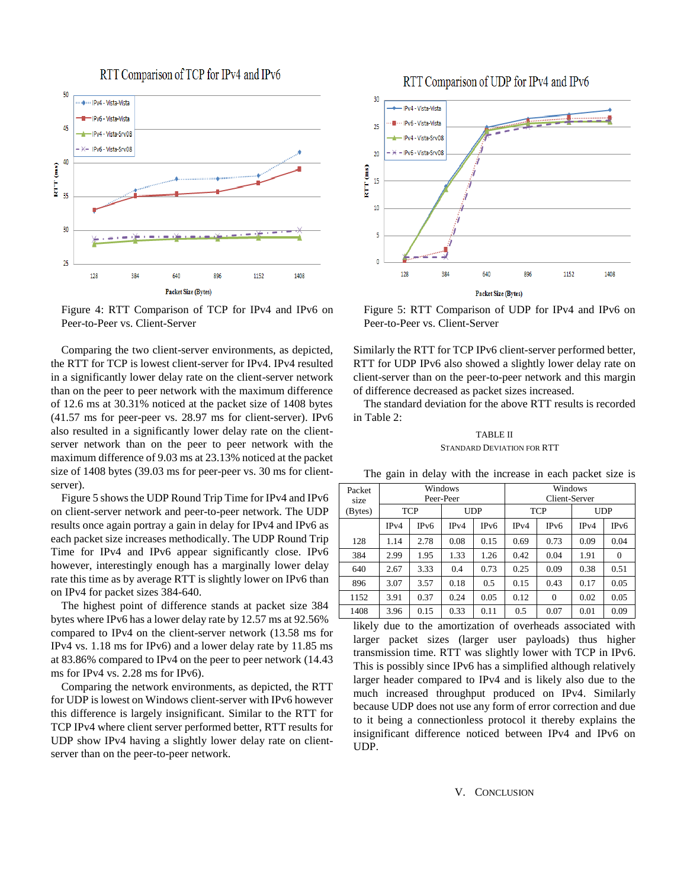



Figure 4: RTT Comparison of TCP for IPv4 and IPv6 on Peer-to-Peer vs. Client-Server

Comparing the two client-server environments, as depicted, the RTT for TCP is lowest client-server for IPv4. IPv4 resulted in a significantly lower delay rate on the client-server network than on the peer to peer network with the maximum difference of 12.6 ms at 30.31% noticed at the packet size of 1408 bytes (41.57 ms for peer-peer vs. 28.97 ms for client-server). IPv6 also resulted in a significantly lower delay rate on the clientserver network than on the peer to peer network with the maximum difference of 9.03 ms at 23.13% noticed at the packet size of 1408 bytes (39.03 ms for peer-peer vs. 30 ms for clientserver).

Figure 5 shows the UDP Round Trip Time for IPv4 and IPv6 on client-server network and peer-to-peer network. The UDP results once again portray a gain in delay for IPv4 and IPv6 as each packet size increases methodically. The UDP Round Trip Time for IPv4 and IPv6 appear significantly close. IPv6 however, interestingly enough has a marginally lower delay rate this time as by average RTT is slightly lower on IPv6 than on IPv4 for packet sizes 384-640.

The highest point of difference stands at packet size 384 bytes where IPv6 has a lower delay rate by 12.57 ms at 92.56% compared to IPv4 on the client-server network (13.58 ms for IPv4 vs. 1.18 ms for IPv6) and a lower delay rate by 11.85 ms at 83.86% compared to IPv4 on the peer to peer network (14.43 ms for IPv4 vs. 2.28 ms for IPv6).

Comparing the network environments, as depicted, the RTT for UDP is lowest on Windows client-server with IPv6 however this difference is largely insignificant. Similar to the RTT for TCP IPv4 where client server performed better, RTT results for UDP show IPv4 having a slightly lower delay rate on clientserver than on the peer-to-peer network.





Figure 5: RTT Comparison of UDP for IPv4 and IPv6 on Peer-to-Peer vs. Client-Server

Similarly the RTT for TCP IPv6 client-server performed better, RTT for UDP IPv6 also showed a slightly lower delay rate on client-server than on the peer-to-peer network and this margin of difference decreased as packet sizes increased.

The standard deviation for the above RTT results is recorded in Table 2:

# TABLE II STANDARD DEVIATION FOR RTT

| Packet<br>size | Windows<br>Peer-Peer |      |      |      | Windows<br>Client-Server |          |      |                  |
|----------------|----------------------|------|------|------|--------------------------|----------|------|------------------|
| (Bytes)        | <b>TCP</b>           |      | UDP  |      | <b>TCP</b>               |          | UDP  |                  |
|                | IPv4                 | IPv6 | IPv4 | IPv6 | IPv4                     | IPv6     | IPv4 | IP <sub>v6</sub> |
| 128            | 1.14                 | 2.78 | 0.08 | 0.15 | 0.69                     | 0.73     | 0.09 | 0.04             |
| 384            | 2.99                 | 1.95 | 1.33 | 1.26 | 0.42                     | 0.04     | 1.91 | $\Omega$         |
| 640            | 2.67                 | 3.33 | 0.4  | 0.73 | 0.25                     | 0.09     | 0.38 | 0.51             |
| 896            | 3.07                 | 3.57 | 0.18 | 0.5  | 0.15                     | 0.43     | 0.17 | 0.05             |
| 1152           | 3.91                 | 0.37 | 0.24 | 0.05 | 0.12                     | $\Omega$ | 0.02 | 0.05             |
| 1408           | 3.96                 | 0.15 | 0.33 | 0.11 | 0.5                      | 0.07     | 0.01 | 0.09             |

The gain in delay with the increase in each packet size is

likely due to the amortization of overheads associated with larger packet sizes (larger user payloads) thus higher transmission time. RTT was slightly lower with TCP in IPv6. This is possibly since IPv6 has a simplified although relatively larger header compared to IPv4 and is likely also due to the much increased throughput produced on IPv4. Similarly because UDP does not use any form of error correction and due to it being a connectionless protocol it thereby explains the insignificant difference noticed between IPv4 and IPv6 on UDP.

#### V. CONCLUSION